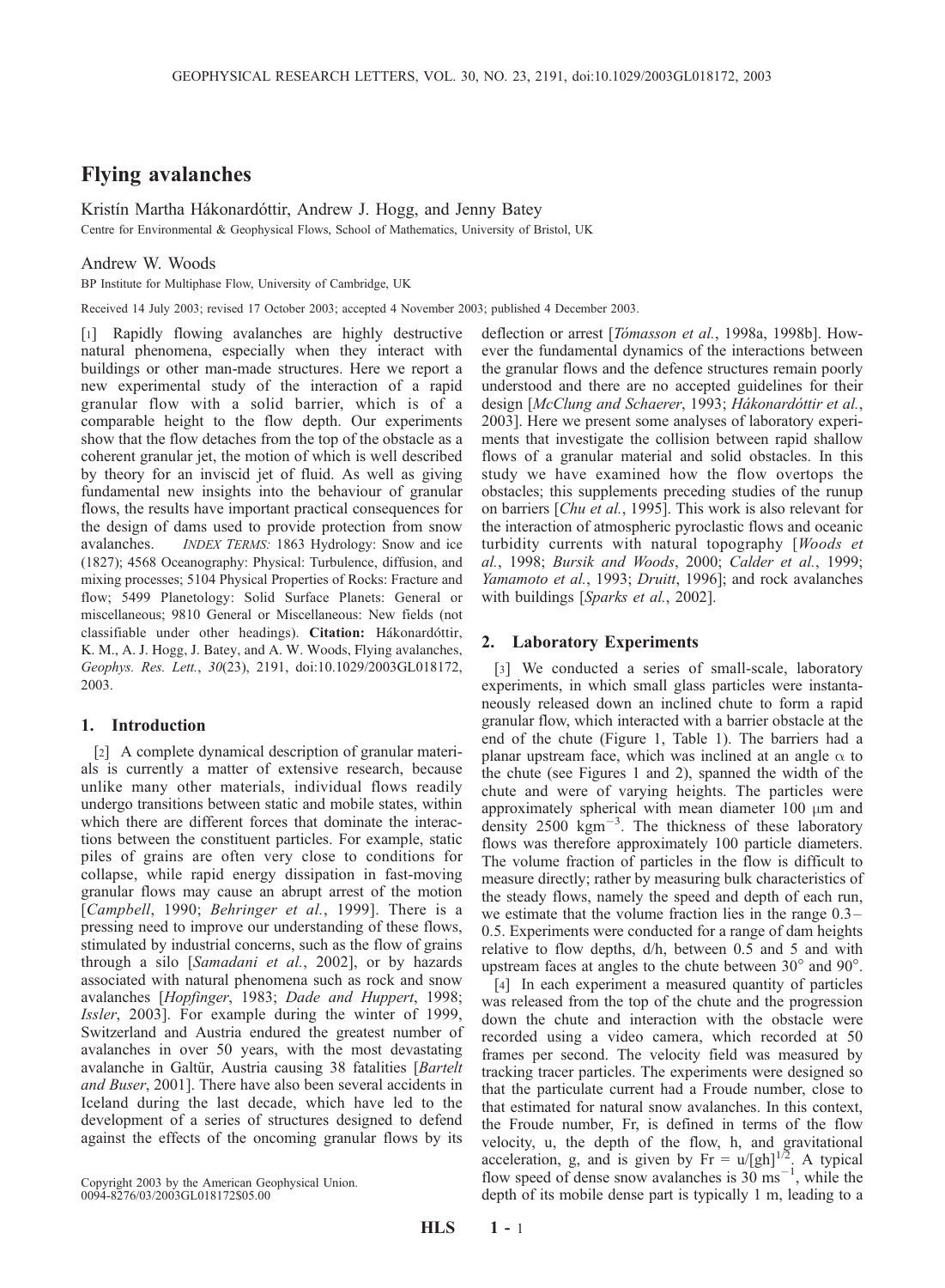# Flying avalanches

Kristín Martha Hákonardóttir, Andrew J. Hogg, and Jenny Batey

Centre for Environmental & Geophysical Flows, School of Mathematics, University of Bristol, UK

### Andrew W. Woods

BP Institute for Multiphase Flow, University of Cambridge, UK

Received 14 July 2003; revised 17 October 2003; accepted 4 November 2003; published 4 December 2003.

[1] Rapidly flowing avalanches are highly destructive natural phenomena, especially when they interact with buildings or other man-made structures. Here we report a new experimental study of the interaction of a rapid granular flow with a solid barrier, which is of a comparable height to the flow depth. Our experiments show that the flow detaches from the top of the obstacle as a coherent granular jet, the motion of which is well described by theory for an inviscid jet of fluid. As well as giving fundamental new insights into the behaviour of granular flows, the results have important practical consequences for the design of dams used to provide protection from snow avalanches. INDEX TERMS: 1863 Hydrology: Snow and ice (1827); 4568 Oceanography: Physical: Turbulence, diffusion, and mixing processes; 5104 Physical Properties of Rocks: Fracture and flow; 5499 Planetology: Solid Surface Planets: General or miscellaneous; 9810 General or Miscellaneous: New fields (not classifiable under other headings). Citation: Hákonardóttir, K. M., A. J. Hogg, J. Batey, and A. W. Woods, Flying avalanches, Geophys. Res. Lett., 30(23), 2191, doi:10.1029/2003GL018172, 2003.

## 1. Introduction

[2] A complete dynamical description of granular materials is currently a matter of extensive research, because unlike many other materials, individual flows readily undergo transitions between static and mobile states, within which there are different forces that dominate the interactions between the constituent particles. For example, static piles of grains are often very close to conditions for collapse, while rapid energy dissipation in fast-moving granular flows may cause an abrupt arrest of the motion [Campbell, 1990; Behringer et al., 1999]. There is a pressing need to improve our understanding of these flows, stimulated by industrial concerns, such as the flow of grains through a silo [Samadani et al., 2002], or by hazards associated with natural phenomena such as rock and snow avalanches [Hopfinger, 1983; Dade and Huppert, 1998; Issler, 2003]. For example during the winter of 1999, Switzerland and Austria endured the greatest number of avalanches in over 50 years, with the most devastating avalanche in Galtür, Austria causing 38 fatalities [Bartelt] and Buser, 2001]. There have also been several accidents in Iceland during the last decade, which have led to the development of a series of structures designed to defend against the effects of the oncoming granular flows by its

Copyright 2003 by the American Geophysical Union. 0094-8276/03/2003GL018172\$05.00

deflection or arrest [Tómasson et al., 1998a, 1998b]. However the fundamental dynamics of the interactions between the granular flows and the defence structures remain poorly understood and there are no accepted guidelines for their design [McClung and Schaerer, 1993; Hákonardóttir et al., 2003]. Here we present some analyses of laboratory experiments that investigate the collision between rapid shallow flows of a granular material and solid obstacles. In this study we have examined how the flow overtops the obstacles; this supplements preceding studies of the runup on barriers [*Chu et al.*, 1995]. This work is also relevant for the interaction of atmospheric pyroclastic flows and oceanic turbidity currents with natural topography [Woods et al., 1998; Bursik and Woods, 2000; Calder et al., 1999; Yamamoto et al., 1993; Druitt, 1996]; and rock avalanches with buildings [Sparks et al., 2002].

#### 2. Laboratory Experiments

[3] We conducted a series of small-scale, laboratory experiments, in which small glass particles were instantaneously released down an inclined chute to form a rapid granular flow, which interacted with a barrier obstacle at the end of the chute (Figure 1, Table 1). The barriers had a planar upstream face, which was inclined at an angle  $\alpha$  to the chute (see Figures 1 and 2), spanned the width of the chute and were of varying heights. The particles were approximately spherical with mean diameter  $100 \mu m$  and density  $2500 \text{ kgm}^{-3}$ . The thickness of these laboratory flows was therefore approximately 100 particle diameters. The volume fraction of particles in the flow is difficult to measure directly; rather by measuring bulk characteristics of the steady flows, namely the speed and depth of each run, we estimate that the volume fraction lies in the range 0.3– 0.5. Experiments were conducted for a range of dam heights relative to flow depths,  $d/h$ , between 0.5 and 5 and with upstream faces at angles to the chute between  $30^{\circ}$  and  $90^{\circ}$ .

[4] In each experiment a measured quantity of particles was released from the top of the chute and the progression down the chute and interaction with the obstacle were recorded using a video camera, which recorded at 50 frames per second. The velocity field was measured by tracking tracer particles. The experiments were designed so that the particulate current had a Froude number, close to that estimated for natural snow avalanches. In this context, the Froude number, Fr, is defined in terms of the flow velocity, u, the depth of the flow, h, and gravitational acceleration, g, and is given by  $Fr = u/[gh]^{1/2}$ . A typical flow speed of dense snow avalanches is  $30 \text{ ms}^{-1}$ , while the depth of its mobile dense part is typically 1 m, leading to a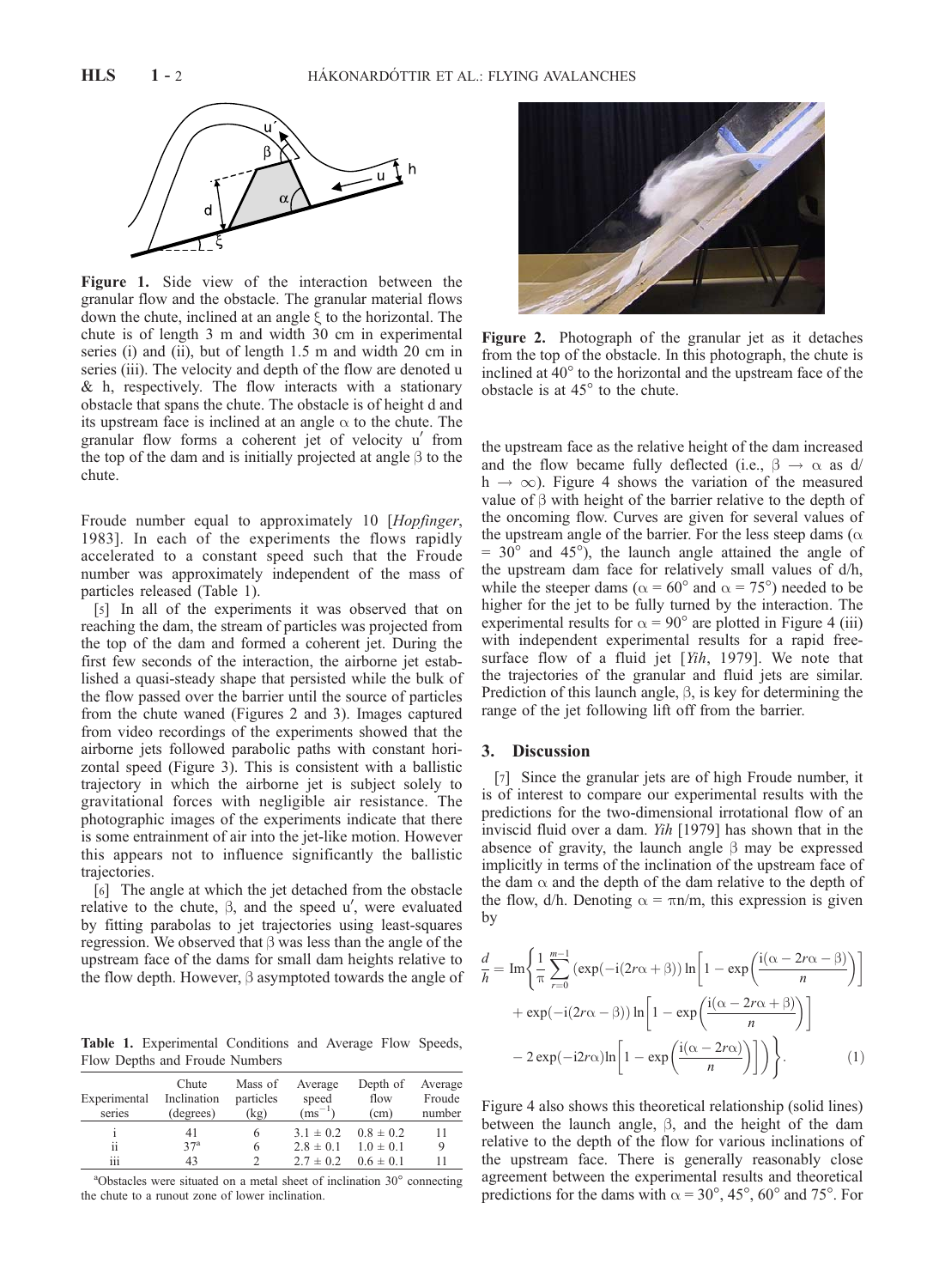

Figure 1. Side view of the interaction between the granular flow and the obstacle. The granular material flows down the chute, inclined at an angle  $\xi$  to the horizontal. The chute is of length 3 m and width 30 cm in experimental series (i) and (ii), but of length 1.5 m and width 20 cm in series (iii). The velocity and depth of the flow are denoted u & h, respectively. The flow interacts with a stationary obstacle that spans the chute. The obstacle is of height d and its upstream face is inclined at an angle  $\alpha$  to the chute. The granular flow forms a coherent jet of velocity  $u'$  from the top of the dam and is initially projected at angle  $\beta$  to the chute.

Froude number equal to approximately 10 [Hopfinger, 1983]. In each of the experiments the flows rapidly accelerated to a constant speed such that the Froude number was approximately independent of the mass of particles released (Table 1).

[5] In all of the experiments it was observed that on reaching the dam, the stream of particles was projected from the top of the dam and formed a coherent jet. During the first few seconds of the interaction, the airborne jet established a quasi-steady shape that persisted while the bulk of the flow passed over the barrier until the source of particles from the chute waned (Figures 2 and 3). Images captured from video recordings of the experiments showed that the airborne jets followed parabolic paths with constant horizontal speed (Figure 3). This is consistent with a ballistic trajectory in which the airborne jet is subject solely to gravitational forces with negligible air resistance. The photographic images of the experiments indicate that there is some entrainment of air into the jet-like motion. However this appears not to influence significantly the ballistic trajectories.

[6] The angle at which the jet detached from the obstacle relative to the chute,  $\beta$ , and the speed u', were evaluated by fitting parabolas to jet trajectories using least-squares regression. We observed that  $\beta$  was less than the angle of the upstream face of the dams for small dam heights relative to the flow depth. However,  $\beta$  asymptoted towards the angle of

Table 1. Experimental Conditions and Average Flow Speeds, Flow Depths and Froude Numbers

| Experimental<br>series | Chute<br>Inclination<br>(degrees) | Mass of<br>particles<br>(kg) | Average<br>speed<br>$\rm (ms^{-1})$ | Depth of<br>flow<br>(cm)    | Average<br>Froude<br>number |
|------------------------|-----------------------------------|------------------------------|-------------------------------------|-----------------------------|-----------------------------|
|                        | 41                                | 6                            |                                     | $3.1 \pm 0.2$ $0.8 \pm 0.2$ | 11                          |
| ii                     | 37 <sup>a</sup>                   | 6                            | $2.8 \pm 0.1$                       | $1.0 \pm 0.1$               | 9                           |
| .<br>111               | 43                                |                              | $2.7 \pm 0.2$                       | $0.6 \pm 0.1$               | 11                          |

 $a^2$ Obstacles were situated on a metal sheet of inclination 30 $^{\circ}$  connecting the chute to a runout zone of lower inclination.



Figure 2. Photograph of the granular jet as it detaches from the top of the obstacle. In this photograph, the chute is inclined at  $40^{\circ}$  to the horizontal and the upstream face of the obstacle is at  $45^\circ$  to the chute.

the upstream face as the relative height of the dam increased and the flow became fully deflected (i.e.,  $\beta \rightarrow \alpha$  as d/  $h \rightarrow \infty$ ). Figure 4 shows the variation of the measured value of  $\beta$  with height of the barrier relative to the depth of the oncoming flow. Curves are given for several values of the upstream angle of the barrier. For the less steep dams ( $\alpha$ )  $= 30^{\circ}$  and 45°), the launch angle attained the angle of the upstream dam face for relatively small values of d/h, while the steeper dams ( $\alpha = 60^{\circ}$  and  $\alpha = 75^{\circ}$ ) needed to be higher for the jet to be fully turned by the interaction. The experimental results for  $\alpha = 90^\circ$  are plotted in Figure 4 (iii) with independent experimental results for a rapid freesurface flow of a fluid jet [Yih, 1979]. We note that the trajectories of the granular and fluid jets are similar. Prediction of this launch angle,  $\beta$ , is key for determining the range of the jet following lift off from the barrier.

#### 3. Discussion

[7] Since the granular jets are of high Froude number, it is of interest to compare our experimental results with the predictions for the two-dimensional irrotational flow of an inviscid fluid over a dam. Yih [1979] has shown that in the absence of gravity, the launch angle  $\beta$  may be expressed implicitly in terms of the inclination of the upstream face of the dam  $\alpha$  and the depth of the dam relative to the depth of the flow,  $d/h$ . Denoting  $\alpha = \pi n/m$ , this expression is given by

$$
\frac{d}{h} = \operatorname{Im} \left\{ \frac{1}{\pi} \sum_{r=0}^{m-1} \left( \exp(-i(2r\alpha + \beta)) \ln \left[ 1 - \exp\left( \frac{i(\alpha - 2r\alpha - \beta)}{n} \right) \right] \right. \right.\left. + \exp(-i(2r\alpha - \beta)) \ln \left[ 1 - \exp\left( \frac{i(\alpha - 2r\alpha + \beta)}{n} \right) \right] \right.\left. - 2 \exp(-i2r\alpha) \ln \left[ 1 - \exp\left( \frac{i(\alpha - 2r\alpha)}{n} \right) \right] \right\}.
$$
\n(1)

Figure 4 also shows this theoretical relationship (solid lines) between the launch angle,  $\beta$ , and the height of the dam relative to the depth of the flow for various inclinations of the upstream face. There is generally reasonably close agreement between the experimental results and theoretical predictions for the dams with  $\alpha = 30^{\circ}, 45^{\circ}, 60^{\circ}$  and 75°. For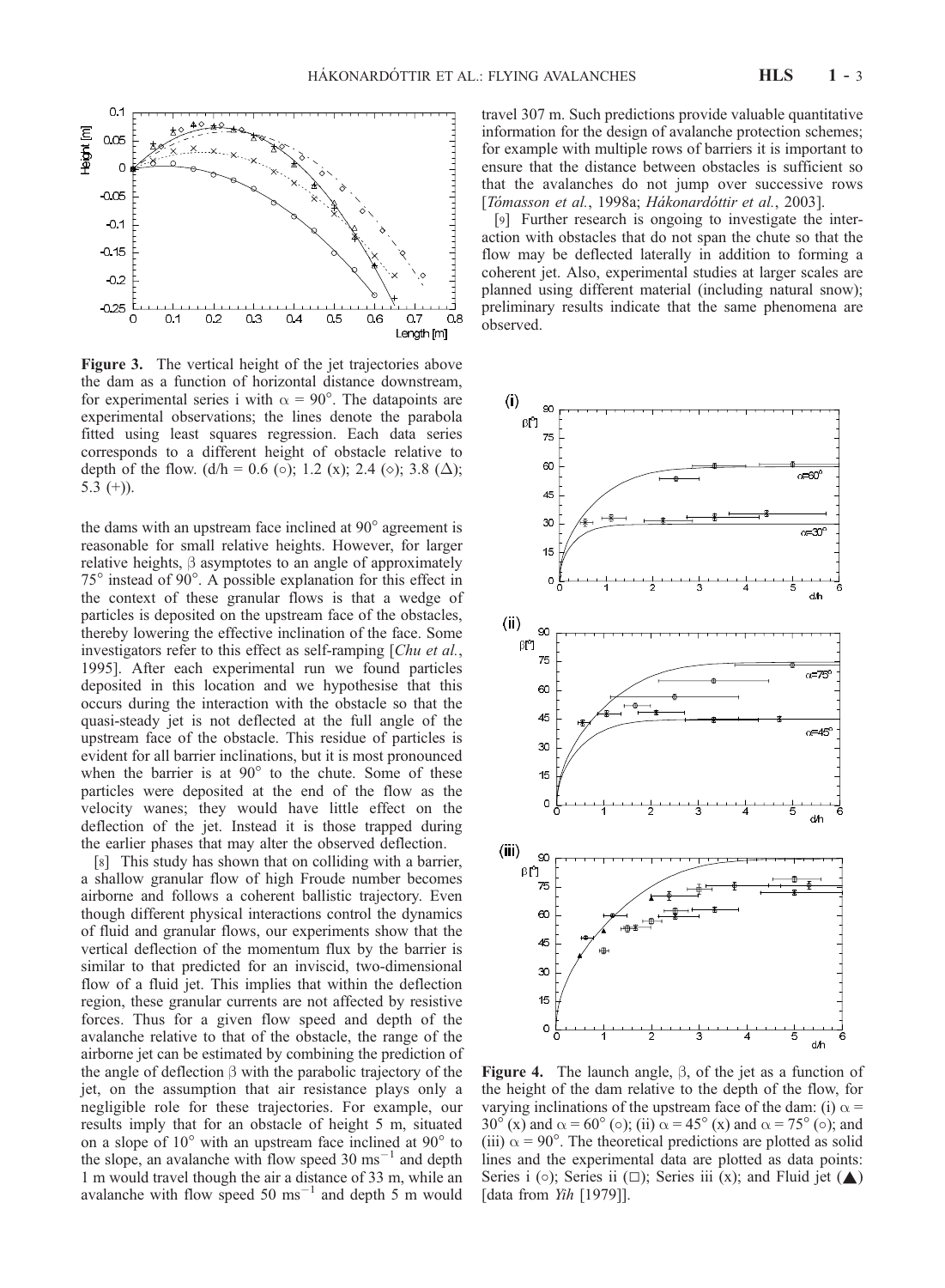

Figure 3. The vertical height of the jet trajectories above the dam as a function of horizontal distance downstream, for experimental series i with  $\alpha = 90^{\circ}$ . The datapoints are experimental observations; the lines denote the parabola fitted using least squares regression. Each data series corresponds to a different height of obstacle relative to depth of the flow.  $(d/h = 0.6$  (o); 1.2 (x); 2.4 ( $\diamond$ ); 3.8 ( $\Delta$ ); 5.3  $(+)$ ).

the dams with an upstream face inclined at  $90^\circ$  agreement is reasonable for small relative heights. However, for larger relative heights,  $\beta$  asymptotes to an angle of approximately  $75^{\circ}$  instead of 90 $^{\circ}$ . A possible explanation for this effect in the context of these granular flows is that a wedge of particles is deposited on the upstream face of the obstacles, thereby lowering the effective inclination of the face. Some investigators refer to this effect as self-ramping [Chu et al., 1995]. After each experimental run we found particles deposited in this location and we hypothesise that this occurs during the interaction with the obstacle so that the quasi-steady jet is not deflected at the full angle of the upstream face of the obstacle. This residue of particles is evident for all barrier inclinations, but it is most pronounced when the barrier is at  $90^{\circ}$  to the chute. Some of these particles were deposited at the end of the flow as the velocity wanes; they would have little effect on the deflection of the jet. Instead it is those trapped during the earlier phases that may alter the observed deflection.

[8] This study has shown that on colliding with a barrier, a shallow granular flow of high Froude number becomes airborne and follows a coherent ballistic trajectory. Even though different physical interactions control the dynamics of fluid and granular flows, our experiments show that the vertical deflection of the momentum flux by the barrier is similar to that predicted for an inviscid, two-dimensional flow of a fluid jet. This implies that within the deflection region, these granular currents are not affected by resistive forces. Thus for a given flow speed and depth of the avalanche relative to that of the obstacle, the range of the airborne jet can be estimated by combining the prediction of the angle of deflection  $\beta$  with the parabolic trajectory of the jet, on the assumption that air resistance plays only a negligible role for these trajectories. For example, our results imply that for an obstacle of height 5 m, situated on a slope of  $10^{\circ}$  with an upstream face inclined at  $90^{\circ}$  to the slope, an avalanche with flow speed  $30 \text{ ms}^{-1}$  and depth 1 m would travel though the air a distance of 33 m, while an avalanche with flow speed 50  $\text{ms}^{-1}$  and depth 5 m would

travel 307 m. Such predictions provide valuable quantitative information for the design of avalanche protection schemes; for example with multiple rows of barriers it is important to ensure that the distance between obstacles is sufficient so that the avalanches do not jump over successive rows [Tómasson et al., 1998a; Hákonardóttir et al., 2003].

[9] Further research is ongoing to investigate the interaction with obstacles that do not span the chute so that the flow may be deflected laterally in addition to forming a coherent jet. Also, experimental studies at larger scales are planned using different material (including natural snow); preliminary results indicate that the same phenomena are observed.



**Figure 4.** The launch angle,  $\beta$ , of the jet as a function of the height of the dam relative to the depth of the flow, for varying inclinations of the upstream face of the dam: (i)  $\alpha$  = 30° (x) and  $\alpha$  = 60° ( $\circ$ ); (ii)  $\alpha$  = 45° (x) and  $\alpha$  = 75° ( $\circ$ ); and (iii)  $\alpha$  = 90°. The theoretical predictions are plotted as solid lines and the experimental data are plotted as data points: Series i ( $\circ$ ); Series ii ( $\Box$ ); Series iii (x); and Fluid jet ( $\blacktriangle$ ) [data from Yih [1979]].